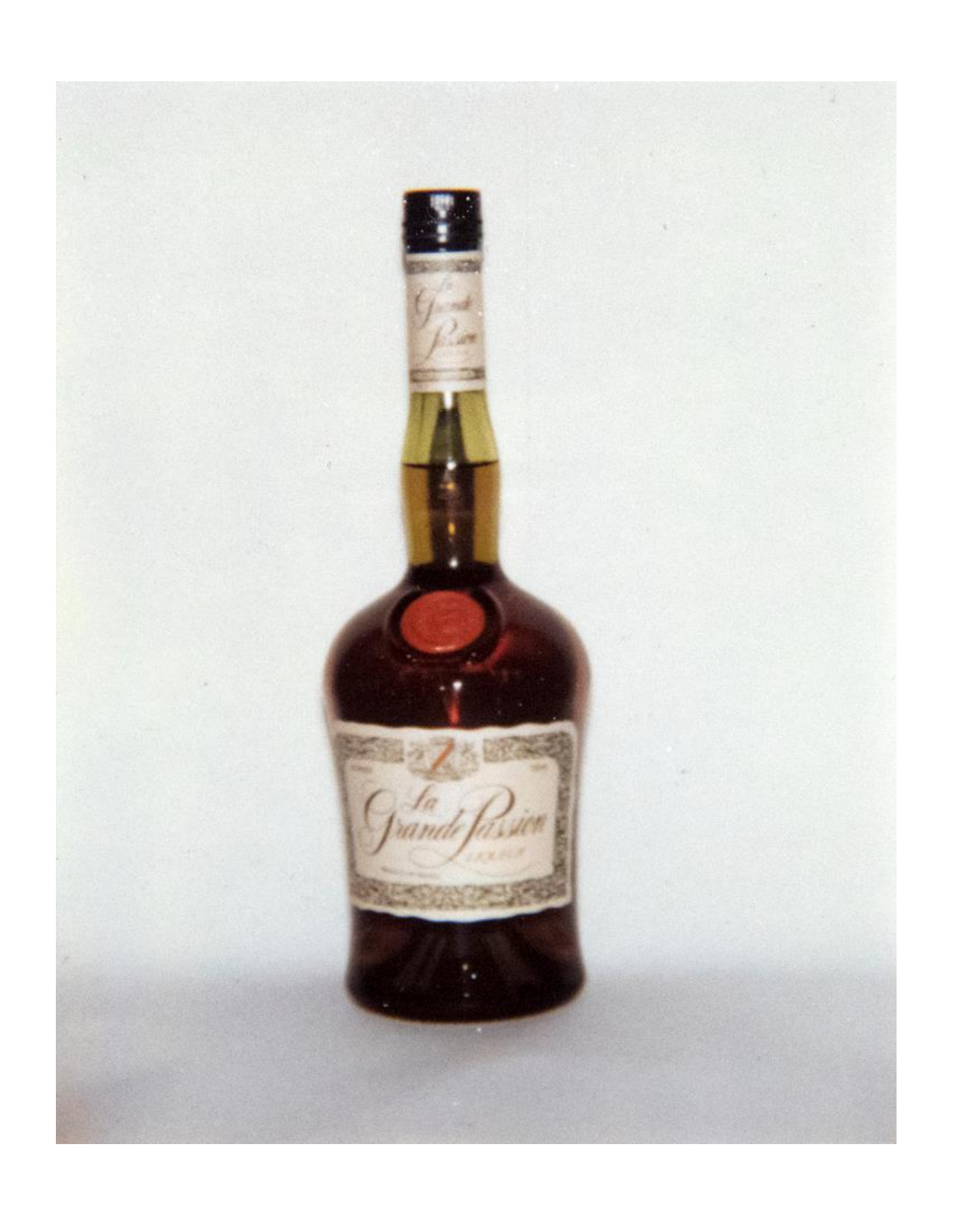